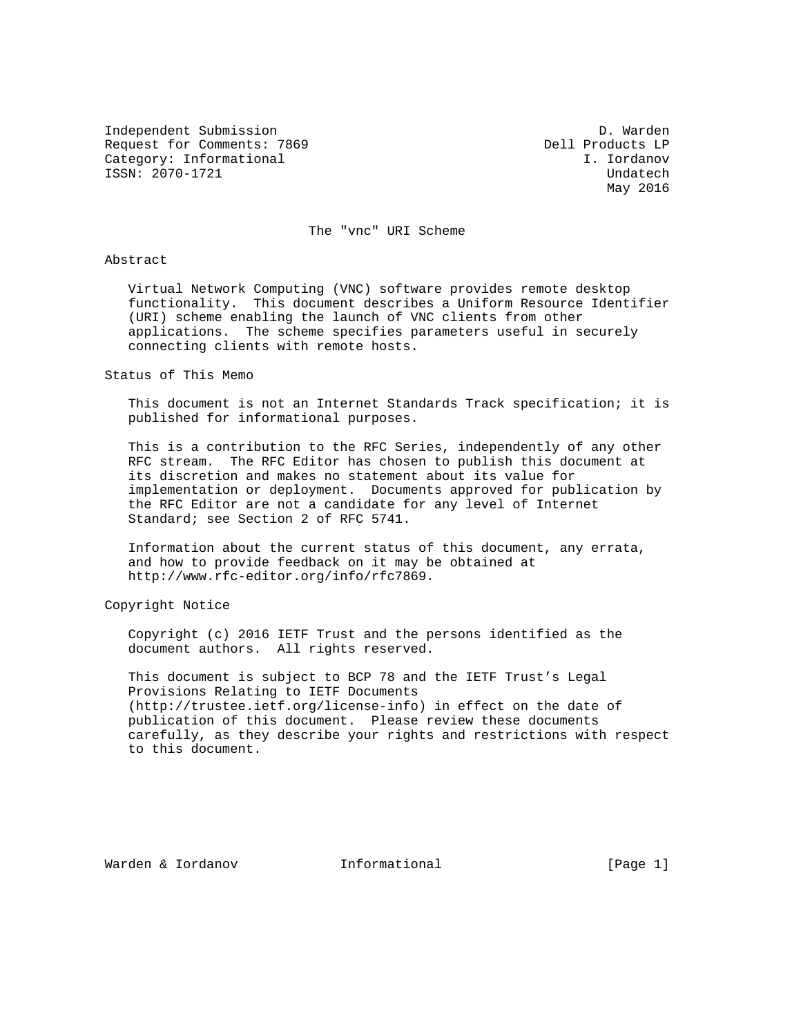Independent Submission D. Warden Request for Comments: 7869 Dell Products LP Category: Informational and I. Iordanov ISSN: 2070-1721 Undatech

May 2016

The "vnc" URI Scheme

#### Abstract

 Virtual Network Computing (VNC) software provides remote desktop functionality. This document describes a Uniform Resource Identifier (URI) scheme enabling the launch of VNC clients from other applications. The scheme specifies parameters useful in securely connecting clients with remote hosts.

# Status of This Memo

 This document is not an Internet Standards Track specification; it is published for informational purposes.

 This is a contribution to the RFC Series, independently of any other RFC stream. The RFC Editor has chosen to publish this document at its discretion and makes no statement about its value for implementation or deployment. Documents approved for publication by the RFC Editor are not a candidate for any level of Internet Standard; see Section 2 of RFC 5741.

 Information about the current status of this document, any errata, and how to provide feedback on it may be obtained at http://www.rfc-editor.org/info/rfc7869.

Copyright Notice

 Copyright (c) 2016 IETF Trust and the persons identified as the document authors. All rights reserved.

 This document is subject to BCP 78 and the IETF Trust's Legal Provisions Relating to IETF Documents (http://trustee.ietf.org/license-info) in effect on the date of publication of this document. Please review these documents carefully, as they describe your rights and restrictions with respect to this document.

Warden & Iordanov Informational [Page 1]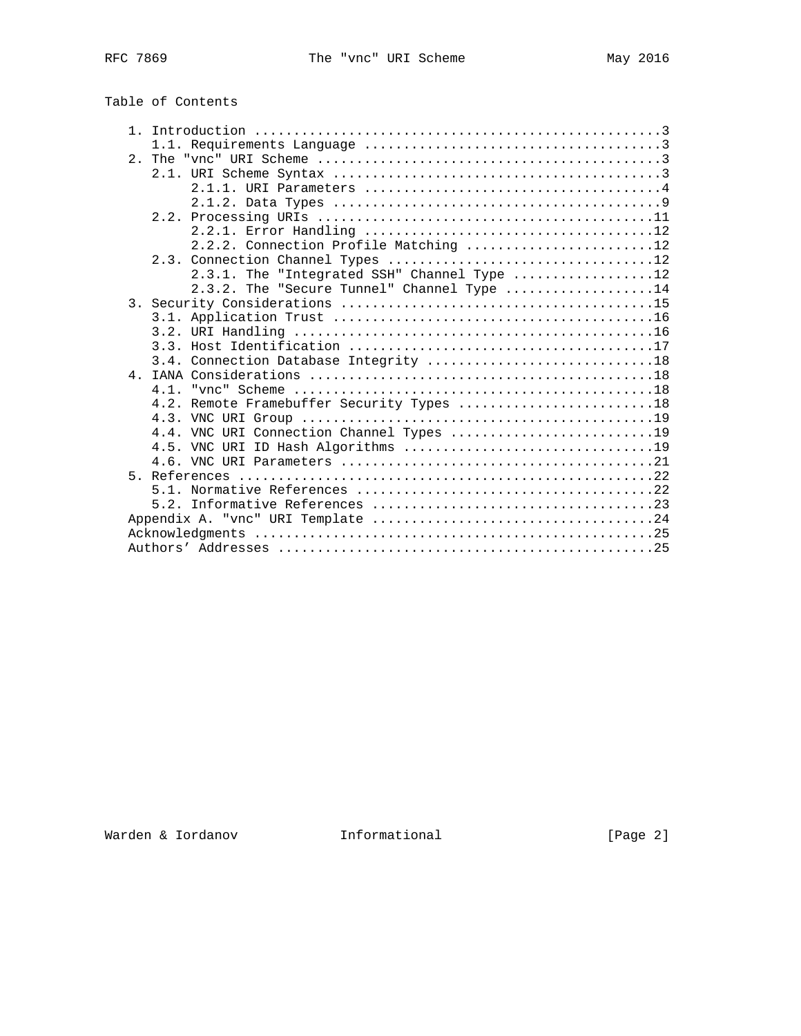| Table of Contents |
|-------------------|
|-------------------|

|  | 2.2.2. Connection Profile Matching 12       |
|--|---------------------------------------------|
|  |                                             |
|  | 2.3.1. The "Integrated SSH" Channel Type 12 |
|  | 2.3.2. The "Secure Tunnel" Channel Type 14  |
|  |                                             |
|  |                                             |
|  |                                             |
|  |                                             |
|  |                                             |
|  |                                             |
|  | 4.1                                         |
|  | 4.2. Remote Framebuffer Security Types 18   |
|  |                                             |
|  | 4.4. VNC URI Connection Channel Types 19    |
|  |                                             |
|  |                                             |
|  |                                             |
|  |                                             |
|  |                                             |
|  |                                             |
|  |                                             |
|  |                                             |
|  |                                             |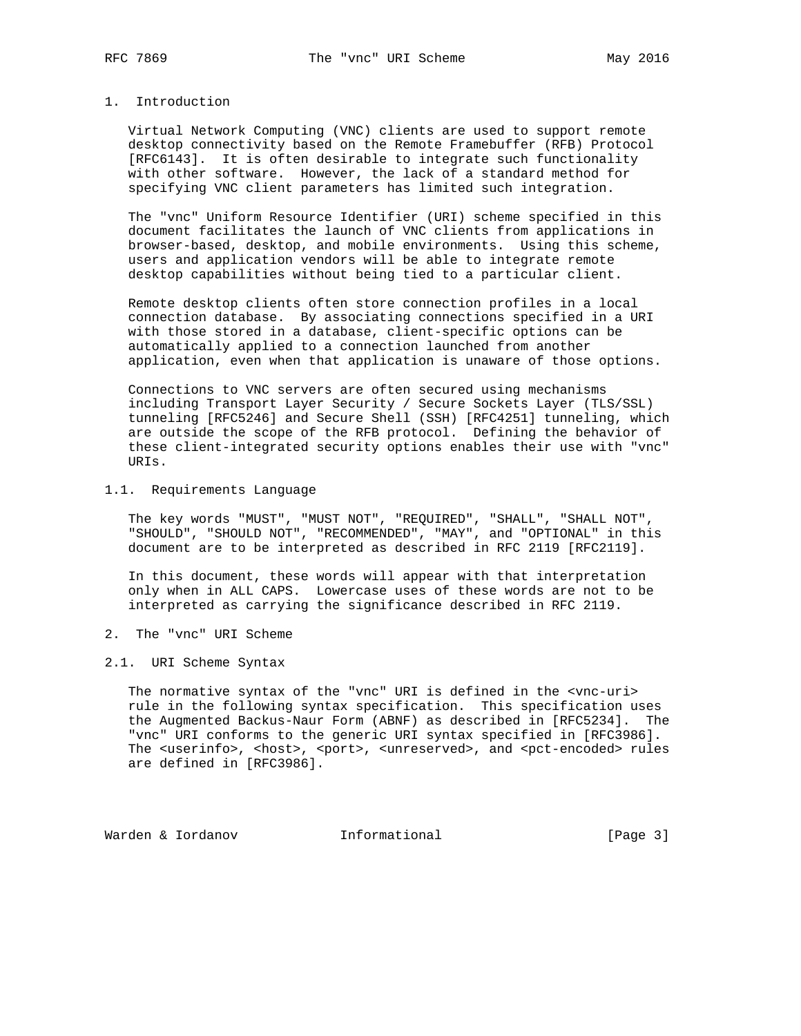# 1. Introduction

 Virtual Network Computing (VNC) clients are used to support remote desktop connectivity based on the Remote Framebuffer (RFB) Protocol [RFC6143]. It is often desirable to integrate such functionality with other software. However, the lack of a standard method for specifying VNC client parameters has limited such integration.

 The "vnc" Uniform Resource Identifier (URI) scheme specified in this document facilitates the launch of VNC clients from applications in browser-based, desktop, and mobile environments. Using this scheme, users and application vendors will be able to integrate remote desktop capabilities without being tied to a particular client.

 Remote desktop clients often store connection profiles in a local connection database. By associating connections specified in a URI with those stored in a database, client-specific options can be automatically applied to a connection launched from another application, even when that application is unaware of those options.

 Connections to VNC servers are often secured using mechanisms including Transport Layer Security / Secure Sockets Layer (TLS/SSL) tunneling [RFC5246] and Secure Shell (SSH) [RFC4251] tunneling, which are outside the scope of the RFB protocol. Defining the behavior of these client-integrated security options enables their use with "vnc" URIs.

## 1.1. Requirements Language

 The key words "MUST", "MUST NOT", "REQUIRED", "SHALL", "SHALL NOT", "SHOULD", "SHOULD NOT", "RECOMMENDED", "MAY", and "OPTIONAL" in this document are to be interpreted as described in RFC 2119 [RFC2119].

 In this document, these words will appear with that interpretation only when in ALL CAPS. Lowercase uses of these words are not to be interpreted as carrying the significance described in RFC 2119.

2. The "vnc" URI Scheme

#### 2.1. URI Scheme Syntax

 The normative syntax of the "vnc" URI is defined in the <vnc-uri> rule in the following syntax specification. This specification uses the Augmented Backus-Naur Form (ABNF) as described in [RFC5234]. The "vnc" URI conforms to the generic URI syntax specified in [RFC3986]. The <userinfo>, <host>, <port>, <unreserved>, and <pct-encoded> rules are defined in [RFC3986].

Warden & Iordanov Informational [Page 3]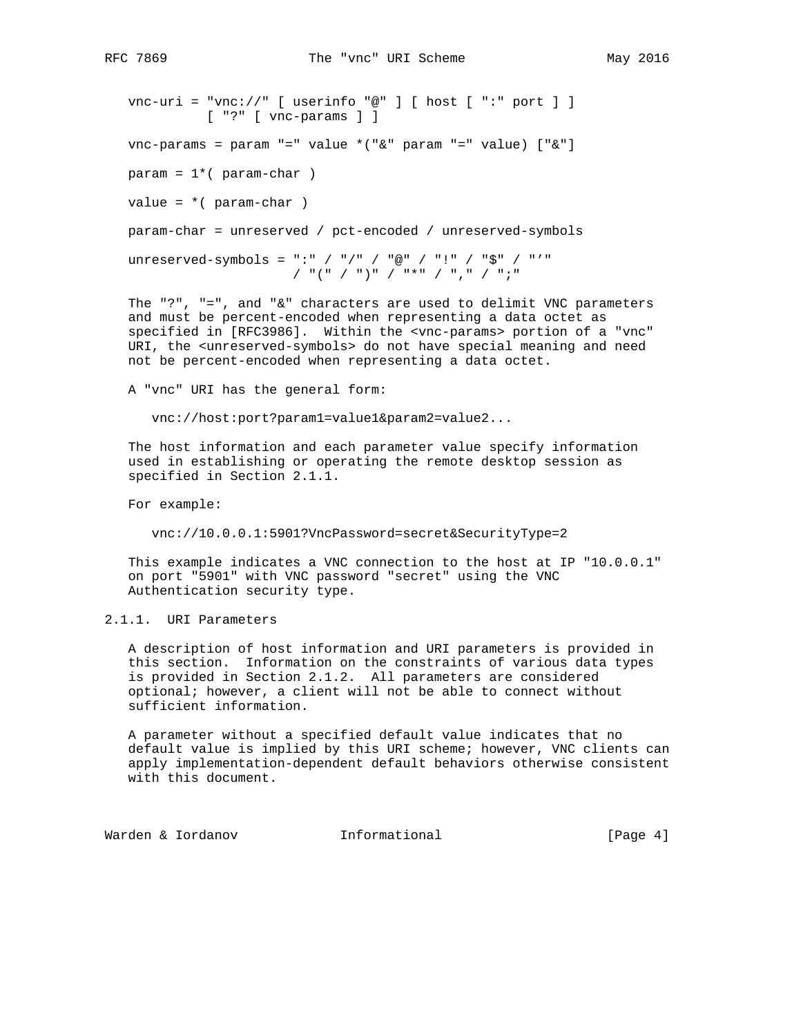```
 vnc-uri = "vnc://" [ userinfo "@" ] [ host [ ":" port ] ]
           [ "?" [ vnc-params ] ]
 vnc-params = param "=" value *("&" param "=" value) ["&"]
param = 1*(param-char)value = *( param-char ) param-char = unreserved / pct-encoded / unreserved-symbols
 unreserved-symbols = ":" / "/" / "@" / "!" / "$" / "'"
                      / "(" / ")" / "*" / "," / ";"
```
The "?", "=", and " $\&$ " characters are used to delimit VNC parameters and must be percent-encoded when representing a data octet as specified in [RFC3986]. Within the <vnc-params> portion of a "vnc" URI, the <unreserved-symbols> do not have special meaning and need not be percent-encoded when representing a data octet.

A "vnc" URI has the general form:

vnc://host:port?param1=value1&param2=value2...

 The host information and each parameter value specify information used in establishing or operating the remote desktop session as specified in Section 2.1.1.

For example:

vnc://10.0.0.1:5901?VncPassword=secret&SecurityType=2

 This example indicates a VNC connection to the host at IP "10.0.0.1" on port "5901" with VNC password "secret" using the VNC Authentication security type.

2.1.1. URI Parameters

 A description of host information and URI parameters is provided in this section. Information on the constraints of various data types is provided in Section 2.1.2. All parameters are considered optional; however, a client will not be able to connect without sufficient information.

 A parameter without a specified default value indicates that no default value is implied by this URI scheme; however, VNC clients can apply implementation-dependent default behaviors otherwise consistent with this document.

Warden & Iordanov Informational [Page 4]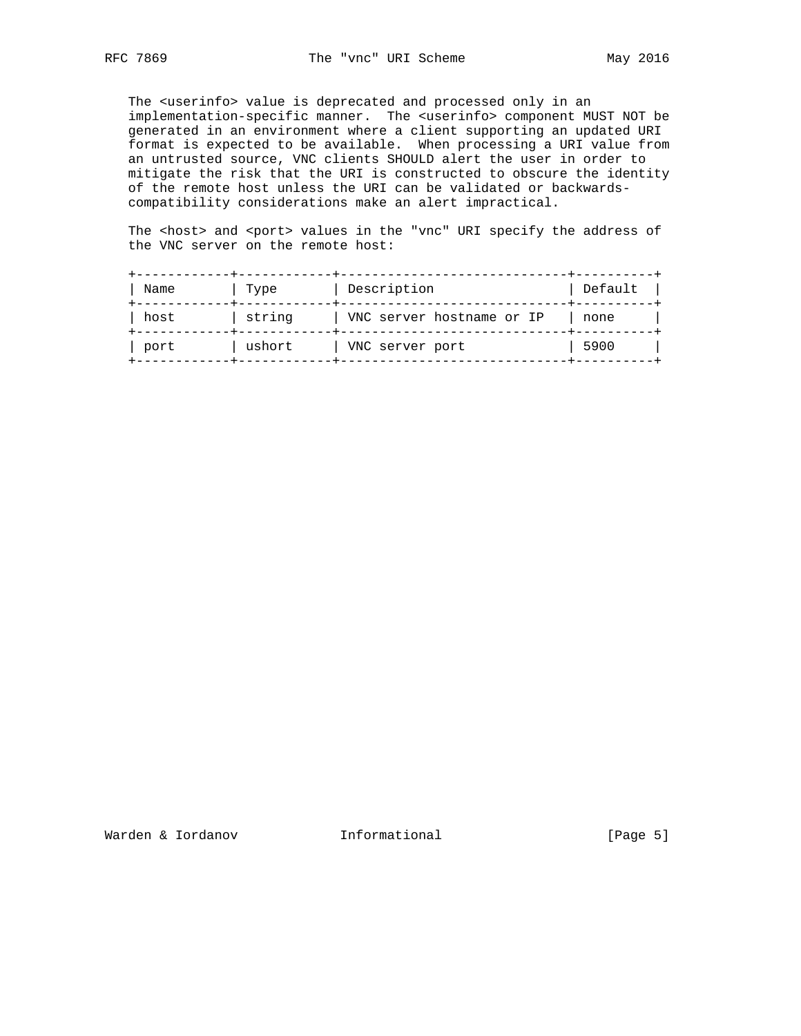The <userinfo> value is deprecated and processed only in an implementation-specific manner. The <userinfo> component MUST NOT be generated in an environment where a client supporting an updated URI format is expected to be available. When processing a URI value from an untrusted source, VNC clients SHOULD alert the user in order to mitigate the risk that the URI is constructed to obscure the identity of the remote host unless the URI can be validated or backwards compatibility considerations make an alert impractical.

The <host> and <port> values in the "vnc" URI specify the address of the VNC server on the remote host:

| Name | Type   | Description               | Default |
|------|--------|---------------------------|---------|
| host | string | VNC server hostname or IP | none    |
| port | ushort | VNC server port           | 5900    |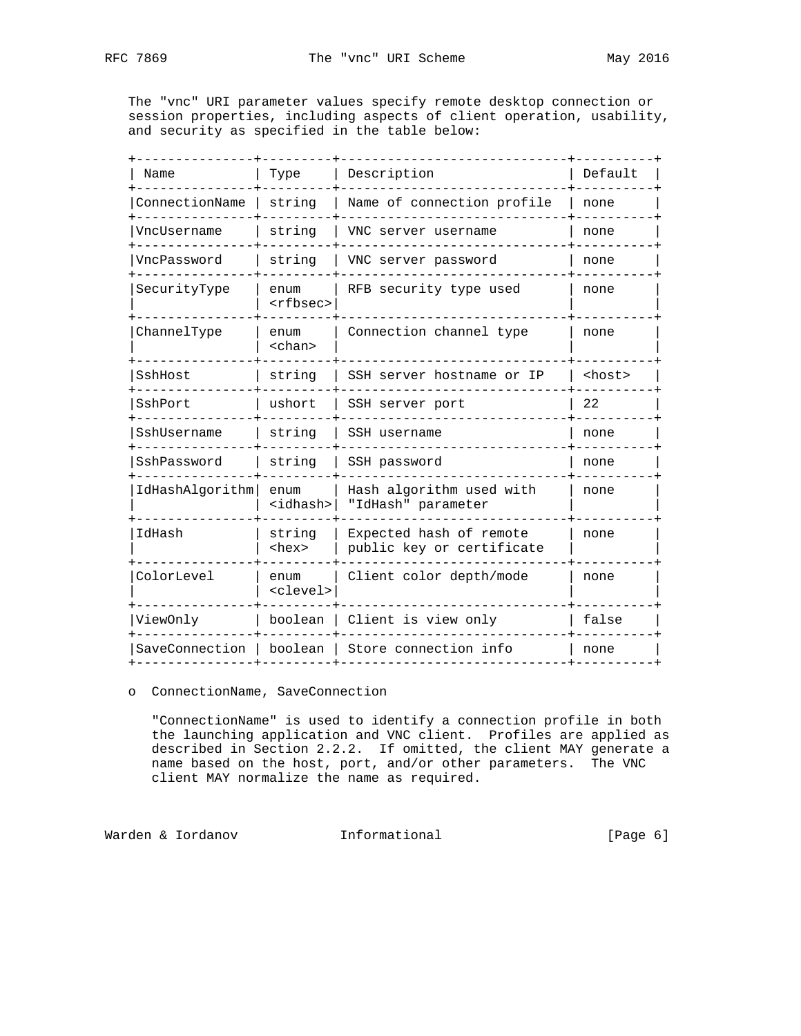The "vnc" URI parameter values specify remote desktop connection or session properties, including aspects of client operation, usability, and security as specified in the table below:

| Name                     | Type                      | Description                                          | Default       |
|--------------------------|---------------------------|------------------------------------------------------|---------------|
| ConnectionName           | string                    | Name of connection profile                           | none          |
| VncUsername              | string                    | VNC server username                                  | none          |
| VncPassword              | string                    | VNC server password                                  | none          |
| SecurityType             | enum<br><rfbsec></rfbsec> | RFB security type used                               | none          |
| ChannelType              | enum<br><chan></chan>     | Connection channel type                              | none          |
| SshHost                  | string                    | SSH server hostname or IP                            | <host></host> |
| SshPort                  | ushort                    | SSH server port                                      | 22            |
| SshUsername              | string                    | SSH username                                         | none          |
| SshPassword              | string                    | SSH password                                         | none          |
| IdHashAlgorithm          | enum<br><idhash></idhash> | Hash algorithm used with<br>"IdHash" parameter       | none          |
| IdHash                   | string<br><hex></hex>     | Expected hash of remote<br>public key or certificate | none          |
| ColorLevel               | enum<br><clevel></clevel> | Client color depth/mode                              | none          |
| ViewOnly                 | boolean                   | Client is view only                                  | false         |
| SaveConnection   boolean |                           | Store connection info                                | none          |
|                          |                           |                                                      |               |

# o ConnectionName, SaveConnection

 "ConnectionName" is used to identify a connection profile in both the launching application and VNC client. Profiles are applied as described in Section 2.2.2. If omitted, the client MAY generate a name based on the host, port, and/or other parameters. The VNC client MAY normalize the name as required.

Warden & Iordanov **Informational Marden & Iordanov Informational [Page 6]**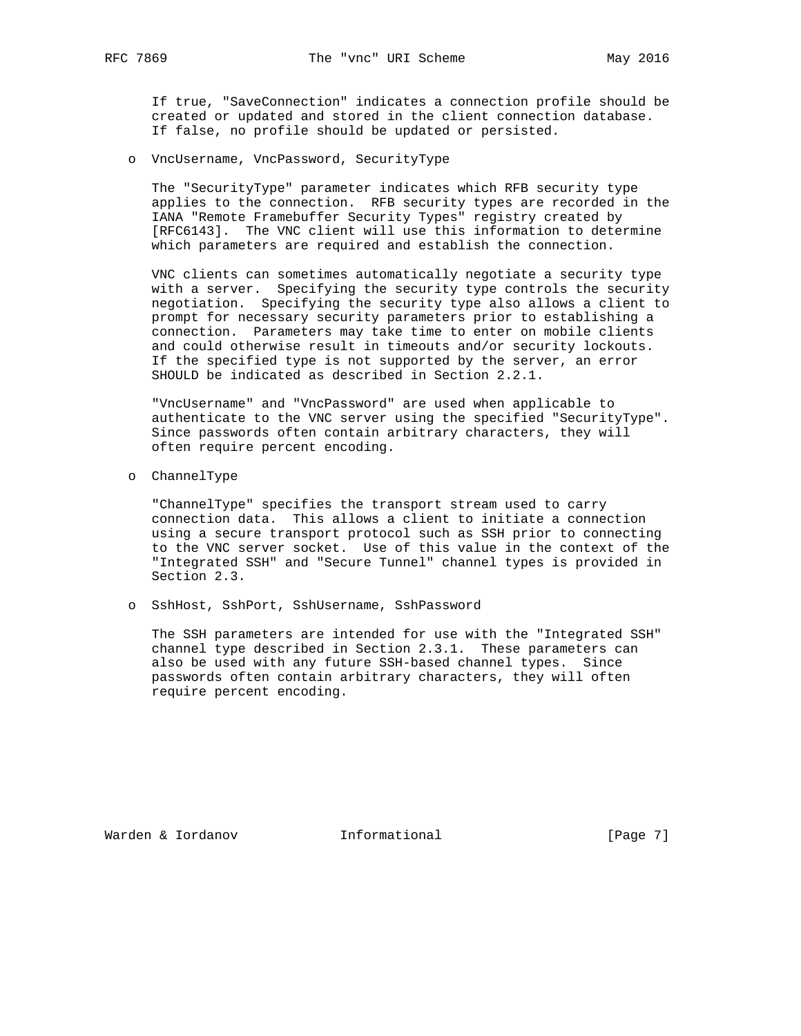If true, "SaveConnection" indicates a connection profile should be created or updated and stored in the client connection database. If false, no profile should be updated or persisted.

o VncUsername, VncPassword, SecurityType

 The "SecurityType" parameter indicates which RFB security type applies to the connection. RFB security types are recorded in the IANA "Remote Framebuffer Security Types" registry created by [RFC6143]. The VNC client will use this information to determine which parameters are required and establish the connection.

 VNC clients can sometimes automatically negotiate a security type with a server. Specifying the security type controls the security negotiation. Specifying the security type also allows a client to prompt for necessary security parameters prior to establishing a connection. Parameters may take time to enter on mobile clients and could otherwise result in timeouts and/or security lockouts. If the specified type is not supported by the server, an error SHOULD be indicated as described in Section 2.2.1.

 "VncUsername" and "VncPassword" are used when applicable to authenticate to the VNC server using the specified "SecurityType". Since passwords often contain arbitrary characters, they will often require percent encoding.

o ChannelType

 "ChannelType" specifies the transport stream used to carry connection data. This allows a client to initiate a connection using a secure transport protocol such as SSH prior to connecting to the VNC server socket. Use of this value in the context of the "Integrated SSH" and "Secure Tunnel" channel types is provided in Section 2.3.

o SshHost, SshPort, SshUsername, SshPassword

 The SSH parameters are intended for use with the "Integrated SSH" channel type described in Section 2.3.1. These parameters can also be used with any future SSH-based channel types. Since passwords often contain arbitrary characters, they will often require percent encoding.

Warden & Iordanov Informational [Page 7]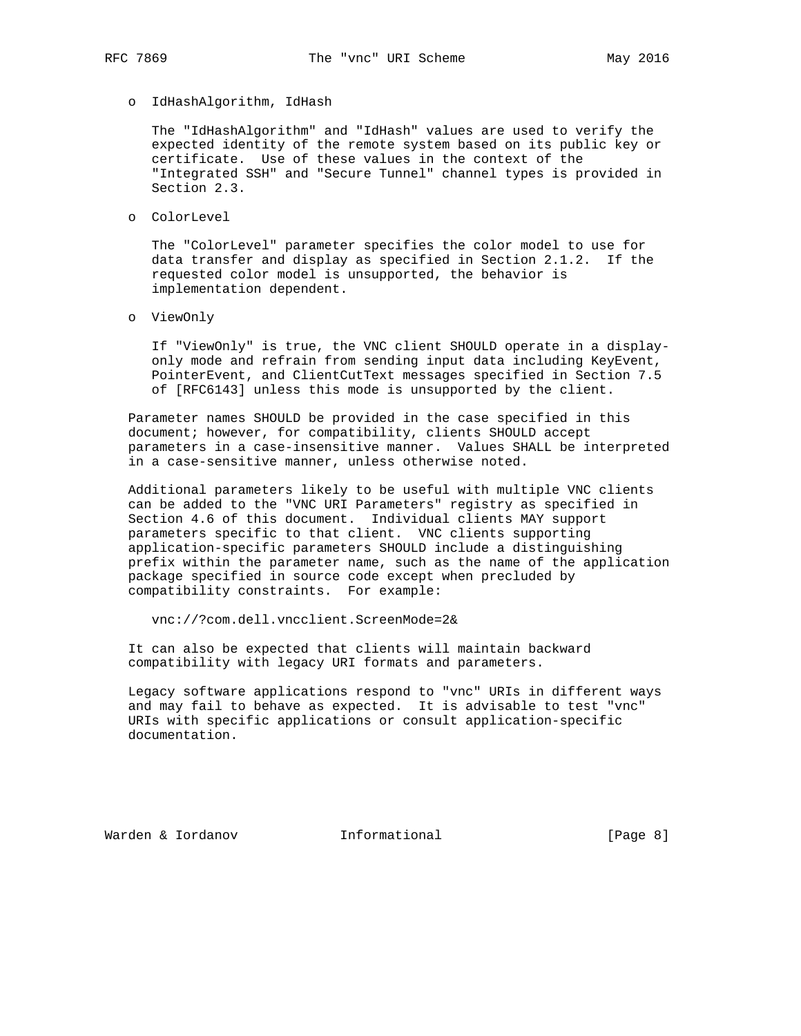o IdHashAlgorithm, IdHash

 The "IdHashAlgorithm" and "IdHash" values are used to verify the expected identity of the remote system based on its public key or certificate. Use of these values in the context of the "Integrated SSH" and "Secure Tunnel" channel types is provided in Section 2.3.

o ColorLevel

 The "ColorLevel" parameter specifies the color model to use for data transfer and display as specified in Section 2.1.2. If the requested color model is unsupported, the behavior is implementation dependent.

o ViewOnly

 If "ViewOnly" is true, the VNC client SHOULD operate in a display only mode and refrain from sending input data including KeyEvent, PointerEvent, and ClientCutText messages specified in Section 7.5 of [RFC6143] unless this mode is unsupported by the client.

 Parameter names SHOULD be provided in the case specified in this document; however, for compatibility, clients SHOULD accept parameters in a case-insensitive manner. Values SHALL be interpreted in a case-sensitive manner, unless otherwise noted.

 Additional parameters likely to be useful with multiple VNC clients can be added to the "VNC URI Parameters" registry as specified in Section 4.6 of this document. Individual clients MAY support parameters specific to that client. VNC clients supporting application-specific parameters SHOULD include a distinguishing prefix within the parameter name, such as the name of the application package specified in source code except when precluded by compatibility constraints. For example:

vnc://?com.dell.vncclient.ScreenMode=2&

 It can also be expected that clients will maintain backward compatibility with legacy URI formats and parameters.

 Legacy software applications respond to "vnc" URIs in different ways and may fail to behave as expected. It is advisable to test "vnc" URIs with specific applications or consult application-specific documentation.

Warden & Iordanov Informational [Page 8]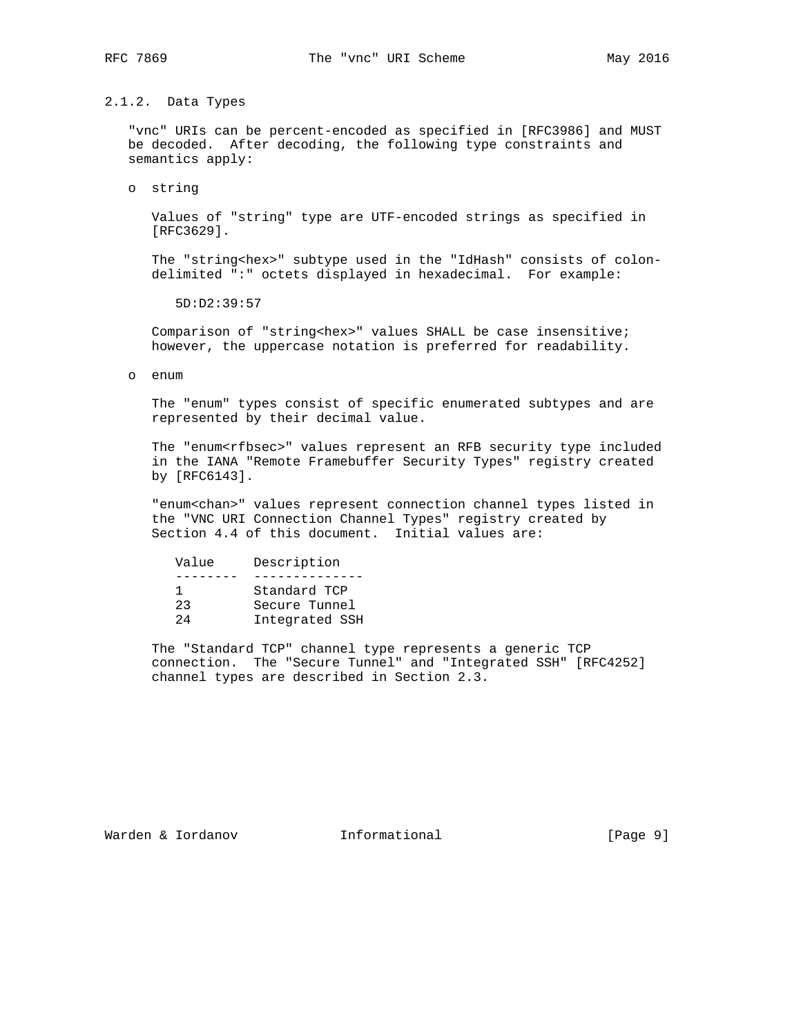# 2.1.2. Data Types

 "vnc" URIs can be percent-encoded as specified in [RFC3986] and MUST be decoded. After decoding, the following type constraints and semantics apply:

o string

 Values of "string" type are UTF-encoded strings as specified in [RFC3629].

 The "string<hex>" subtype used in the "IdHash" consists of colon delimited ":" octets displayed in hexadecimal. For example:

5D:D2:39:57

Comparison of "string<hex>" values SHALL be case insensitive; however, the uppercase notation is preferred for readability.

o enum

 The "enum" types consist of specific enumerated subtypes and are represented by their decimal value.

 The "enum<rfbsec>" values represent an RFB security type included in the IANA "Remote Framebuffer Security Types" registry created by [RFC6143].

 "enum<chan>" values represent connection channel types listed in the "VNC URI Connection Channel Types" registry created by Section 4.4 of this document. Initial values are:

| Value | Description    |  |
|-------|----------------|--|
|       | Standard TCP   |  |
| 23    | Secure Tunnel  |  |
| 24    | Integrated SSH |  |

 The "Standard TCP" channel type represents a generic TCP connection. The "Secure Tunnel" and "Integrated SSH" [RFC4252] channel types are described in Section 2.3.

Warden & Iordanov Informational [Page 9]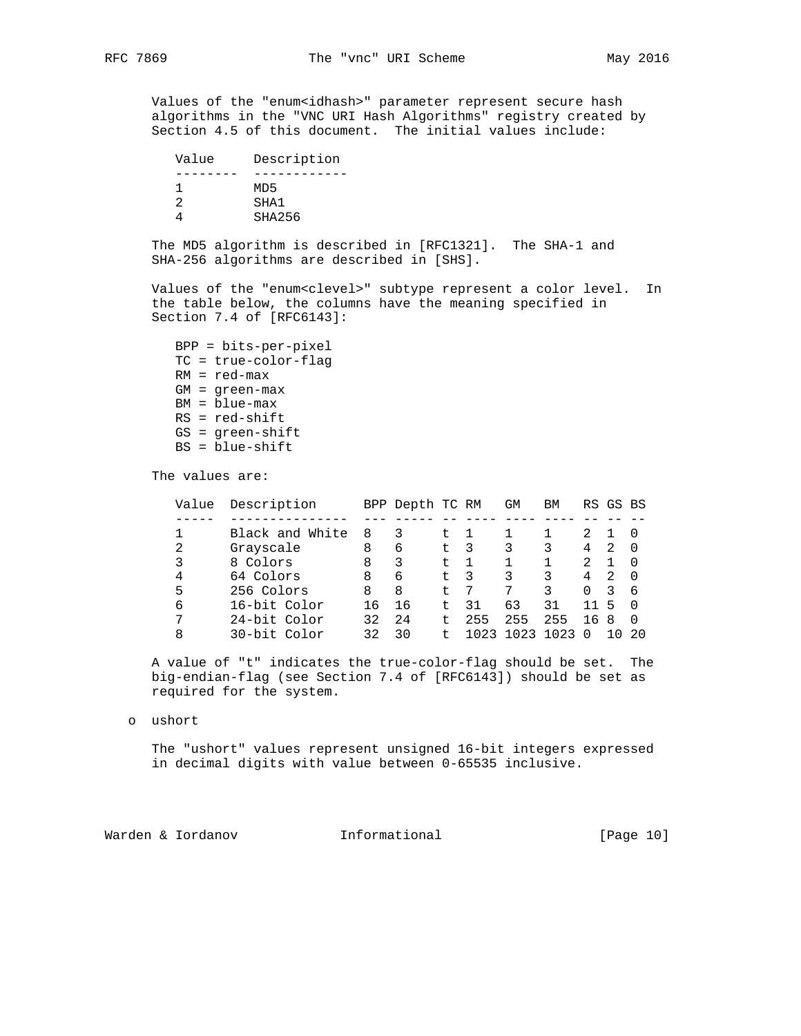Values of the "enum<idhash>" parameter represent secure hash algorithms in the "VNC URI Hash Algorithms" registry created by Section 4.5 of this document. The initial values include:

| Value | Description |
|-------|-------------|
|       |             |
|       | MD5         |
|       | SHA1        |
|       | SHA256      |

 The MD5 algorithm is described in [RFC1321]. The SHA-1 and SHA-256 algorithms are described in [SHS].

 Values of the "enum<clevel>" subtype represent a color level. In the table below, the columns have the meaning specified in Section 7.4 of [RFC6143]:

 BPP = bits-per-pixel TC = true-color-flag RM = red-max GM = green-max BM = blue-max RS = red-shift GS = green-shift BS = blue-shift

The values are:

| Value | Description     |    | BPP Depth TC RM |      |      | GM   | BM   |          | RS GS BS |     |
|-------|-----------------|----|-----------------|------|------|------|------|----------|----------|-----|
|       |                 |    |                 |      |      |      |      |          |          |     |
|       | Black and White | 8  | 3               | t.   |      |      |      |          |          |     |
| 2     | Grayscale       | 8  | 6               | t.   | -3   | 3    |      | 4        | 2        |     |
| 3     | 8 Colors        | 8  | 3               | t.   |      |      |      | 2        |          |     |
| 4     | 64 Colors       | 8  | 6               | t.   | -3   |      |      | 4        | 2        |     |
| 5     | 256 Colors      | 8  | 8               | $^+$ |      |      |      | $\Omega$ | 3        | -6  |
| 6     | 16-bit Color    | 16 | 16              | ÷    | 31   | 63   | 31   | 11       | 5        |     |
| 7     | 24-bit Color    | 32 | 24              | t.   | 255  | 255  | 255  | 16 8     |          | - 0 |
| 8     | 30-bit Color    | 32 | 30              |      | 1023 | 1023 | 1023 |          |          | 20  |

 A value of "t" indicates the true-color-flag should be set. The big-endian-flag (see Section 7.4 of [RFC6143]) should be set as required for the system.

o ushort

 The "ushort" values represent unsigned 16-bit integers expressed in decimal digits with value between 0-65535 inclusive.

Warden & Iordanov **Informational** [Page 10]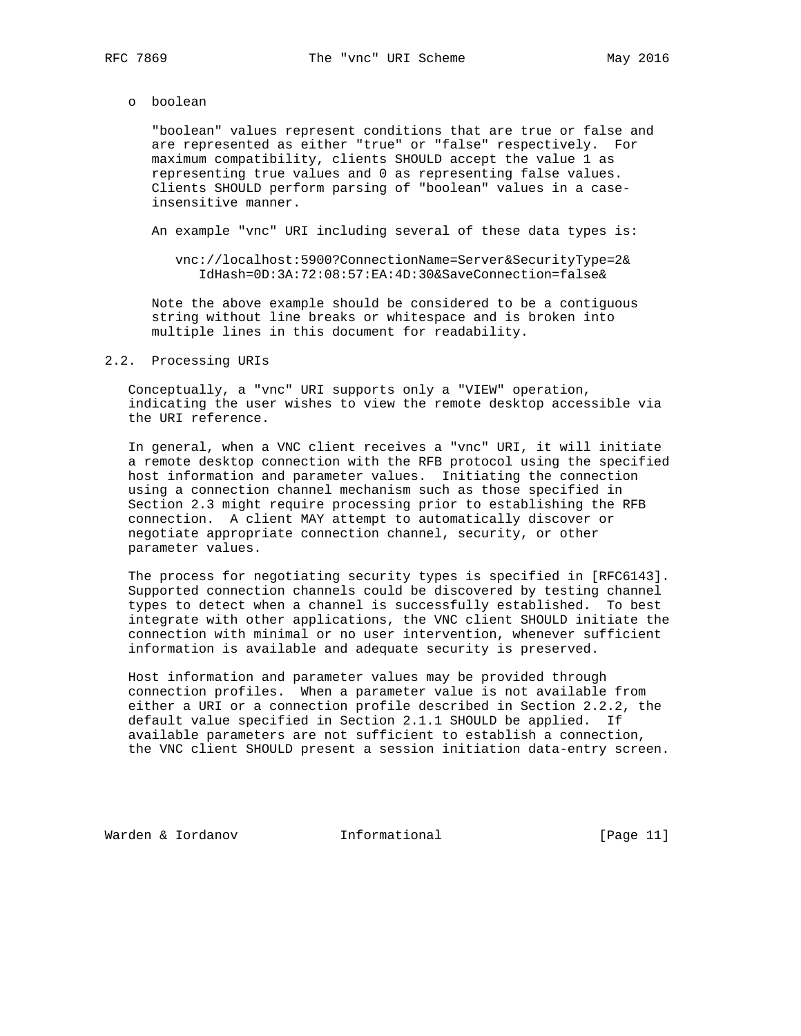o boolean

 "boolean" values represent conditions that are true or false and are represented as either "true" or "false" respectively. For maximum compatibility, clients SHOULD accept the value 1 as representing true values and 0 as representing false values. Clients SHOULD perform parsing of "boolean" values in a case insensitive manner.

An example "vnc" URI including several of these data types is:

 vnc://localhost:5900?ConnectionName=Server&SecurityType=2& IdHash=0D:3A:72:08:57:EA:4D:30&SaveConnection=false&

 Note the above example should be considered to be a contiguous string without line breaks or whitespace and is broken into multiple lines in this document for readability.

# 2.2. Processing URIs

 Conceptually, a "vnc" URI supports only a "VIEW" operation, indicating the user wishes to view the remote desktop accessible via the URI reference.

 In general, when a VNC client receives a "vnc" URI, it will initiate a remote desktop connection with the RFB protocol using the specified host information and parameter values. Initiating the connection using a connection channel mechanism such as those specified in Section 2.3 might require processing prior to establishing the RFB connection. A client MAY attempt to automatically discover or negotiate appropriate connection channel, security, or other parameter values.

 The process for negotiating security types is specified in [RFC6143]. Supported connection channels could be discovered by testing channel types to detect when a channel is successfully established. To best integrate with other applications, the VNC client SHOULD initiate the connection with minimal or no user intervention, whenever sufficient information is available and adequate security is preserved.

 Host information and parameter values may be provided through connection profiles. When a parameter value is not available from either a URI or a connection profile described in Section 2.2.2, the default value specified in Section 2.1.1 SHOULD be applied. If available parameters are not sufficient to establish a connection, the VNC client SHOULD present a session initiation data-entry screen.

Warden & Iordanov Informational [Page 11]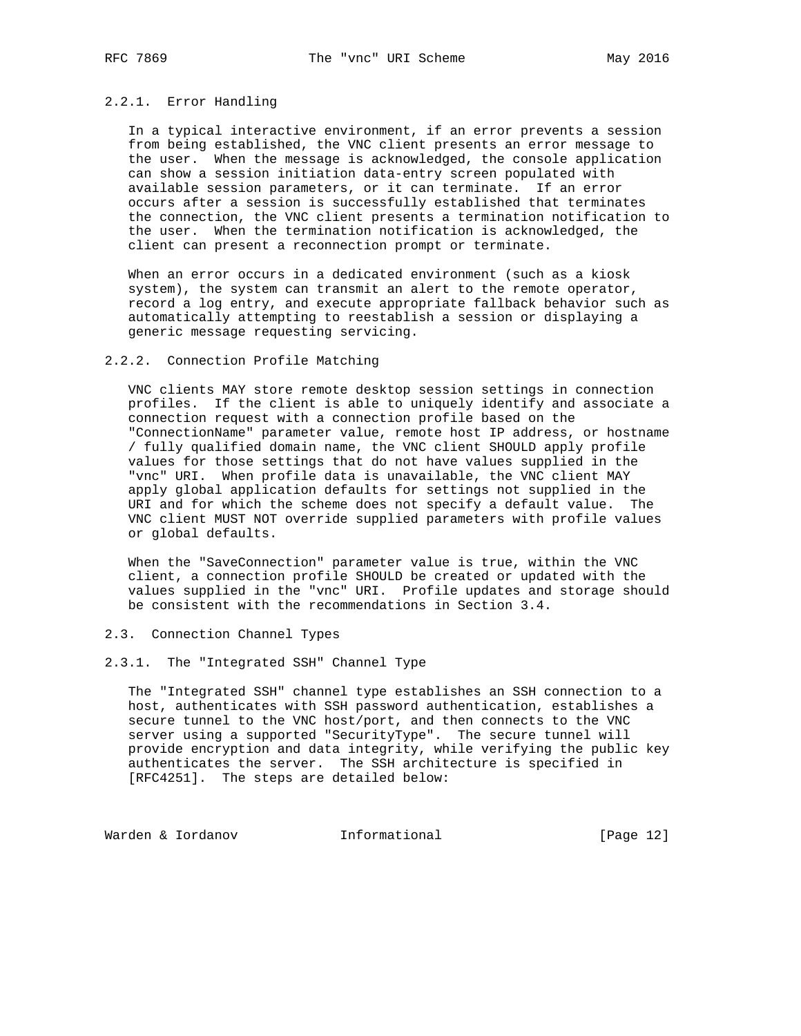# 2.2.1. Error Handling

 In a typical interactive environment, if an error prevents a session from being established, the VNC client presents an error message to the user. When the message is acknowledged, the console application can show a session initiation data-entry screen populated with available session parameters, or it can terminate. If an error occurs after a session is successfully established that terminates the connection, the VNC client presents a termination notification to the user. When the termination notification is acknowledged, the client can present a reconnection prompt or terminate.

 When an error occurs in a dedicated environment (such as a kiosk system), the system can transmit an alert to the remote operator, record a log entry, and execute appropriate fallback behavior such as automatically attempting to reestablish a session or displaying a generic message requesting servicing.

#### 2.2.2. Connection Profile Matching

 VNC clients MAY store remote desktop session settings in connection profiles. If the client is able to uniquely identify and associate a connection request with a connection profile based on the "ConnectionName" parameter value, remote host IP address, or hostname / fully qualified domain name, the VNC client SHOULD apply profile values for those settings that do not have values supplied in the "vnc" URI. When profile data is unavailable, the VNC client MAY apply global application defaults for settings not supplied in the URI and for which the scheme does not specify a default value. The VNC client MUST NOT override supplied parameters with profile values or global defaults.

 When the "SaveConnection" parameter value is true, within the VNC client, a connection profile SHOULD be created or updated with the values supplied in the "vnc" URI. Profile updates and storage should be consistent with the recommendations in Section 3.4.

#### 2.3. Connection Channel Types

## 2.3.1. The "Integrated SSH" Channel Type

 The "Integrated SSH" channel type establishes an SSH connection to a host, authenticates with SSH password authentication, establishes a secure tunnel to the VNC host/port, and then connects to the VNC server using a supported "SecurityType". The secure tunnel will provide encryption and data integrity, while verifying the public key authenticates the server. The SSH architecture is specified in [RFC4251]. The steps are detailed below:

Warden & Iordanov **Informational** [Page 12]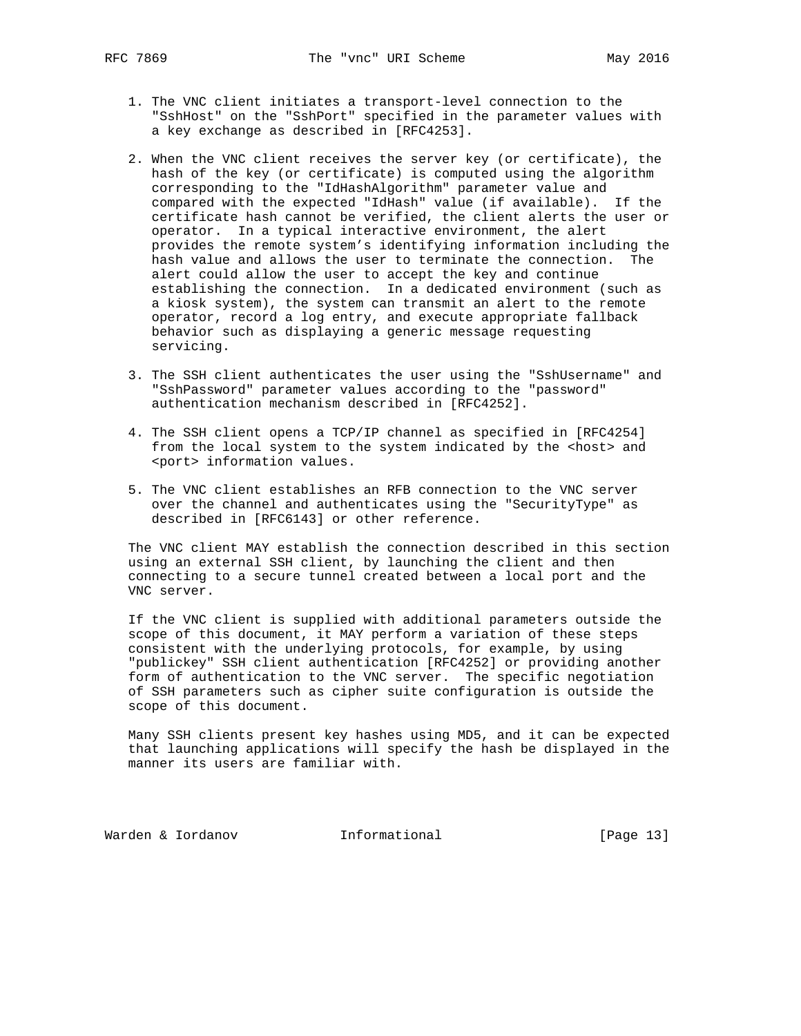- 1. The VNC client initiates a transport-level connection to the "SshHost" on the "SshPort" specified in the parameter values with a key exchange as described in [RFC4253].
- 2. When the VNC client receives the server key (or certificate), the hash of the key (or certificate) is computed using the algorithm corresponding to the "IdHashAlgorithm" parameter value and compared with the expected "IdHash" value (if available). If the certificate hash cannot be verified, the client alerts the user or operator. In a typical interactive environment, the alert provides the remote system's identifying information including the hash value and allows the user to terminate the connection. The alert could allow the user to accept the key and continue establishing the connection. In a dedicated environment (such as a kiosk system), the system can transmit an alert to the remote operator, record a log entry, and execute appropriate fallback behavior such as displaying a generic message requesting servicing.
- 3. The SSH client authenticates the user using the "SshUsername" and "SshPassword" parameter values according to the "password" authentication mechanism described in [RFC4252].
- 4. The SSH client opens a TCP/IP channel as specified in [RFC4254] from the local system to the system indicated by the <host> and <port> information values.
- 5. The VNC client establishes an RFB connection to the VNC server over the channel and authenticates using the "SecurityType" as described in [RFC6143] or other reference.

 The VNC client MAY establish the connection described in this section using an external SSH client, by launching the client and then connecting to a secure tunnel created between a local port and the VNC server.

 If the VNC client is supplied with additional parameters outside the scope of this document, it MAY perform a variation of these steps consistent with the underlying protocols, for example, by using "publickey" SSH client authentication [RFC4252] or providing another form of authentication to the VNC server. The specific negotiation of SSH parameters such as cipher suite configuration is outside the scope of this document.

 Many SSH clients present key hashes using MD5, and it can be expected that launching applications will specify the hash be displayed in the manner its users are familiar with.

Warden & Iordanov **Informational** [Page 13]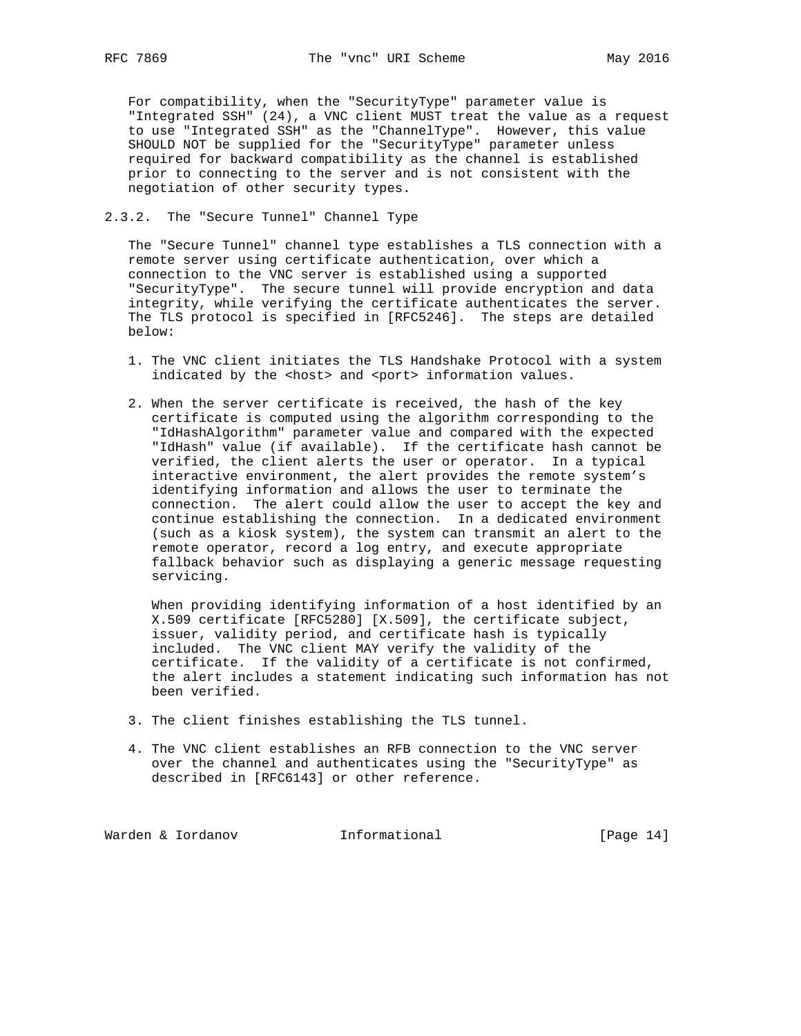For compatibility, when the "SecurityType" parameter value is "Integrated SSH" (24), a VNC client MUST treat the value as a request to use "Integrated SSH" as the "ChannelType". However, this value SHOULD NOT be supplied for the "SecurityType" parameter unless required for backward compatibility as the channel is established prior to connecting to the server and is not consistent with the negotiation of other security types.

# 2.3.2. The "Secure Tunnel" Channel Type

 The "Secure Tunnel" channel type establishes a TLS connection with a remote server using certificate authentication, over which a connection to the VNC server is established using a supported "SecurityType". The secure tunnel will provide encryption and data integrity, while verifying the certificate authenticates the server. The TLS protocol is specified in [RFC5246]. The steps are detailed below:

- 1. The VNC client initiates the TLS Handshake Protocol with a system indicated by the <host> and <port> information values.
- 2. When the server certificate is received, the hash of the key certificate is computed using the algorithm corresponding to the "IdHashAlgorithm" parameter value and compared with the expected "IdHash" value (if available). If the certificate hash cannot be verified, the client alerts the user or operator. In a typical interactive environment, the alert provides the remote system's identifying information and allows the user to terminate the connection. The alert could allow the user to accept the key and continue establishing the connection. In a dedicated environment (such as a kiosk system), the system can transmit an alert to the remote operator, record a log entry, and execute appropriate fallback behavior such as displaying a generic message requesting servicing.

 When providing identifying information of a host identified by an X.509 certificate [RFC5280] [X.509], the certificate subject, issuer, validity period, and certificate hash is typically included. The VNC client MAY verify the validity of the certificate. If the validity of a certificate is not confirmed, the alert includes a statement indicating such information has not been verified.

- 3. The client finishes establishing the TLS tunnel.
- 4. The VNC client establishes an RFB connection to the VNC server over the channel and authenticates using the "SecurityType" as described in [RFC6143] or other reference.

Warden & Iordanov **Informational** [Page 14]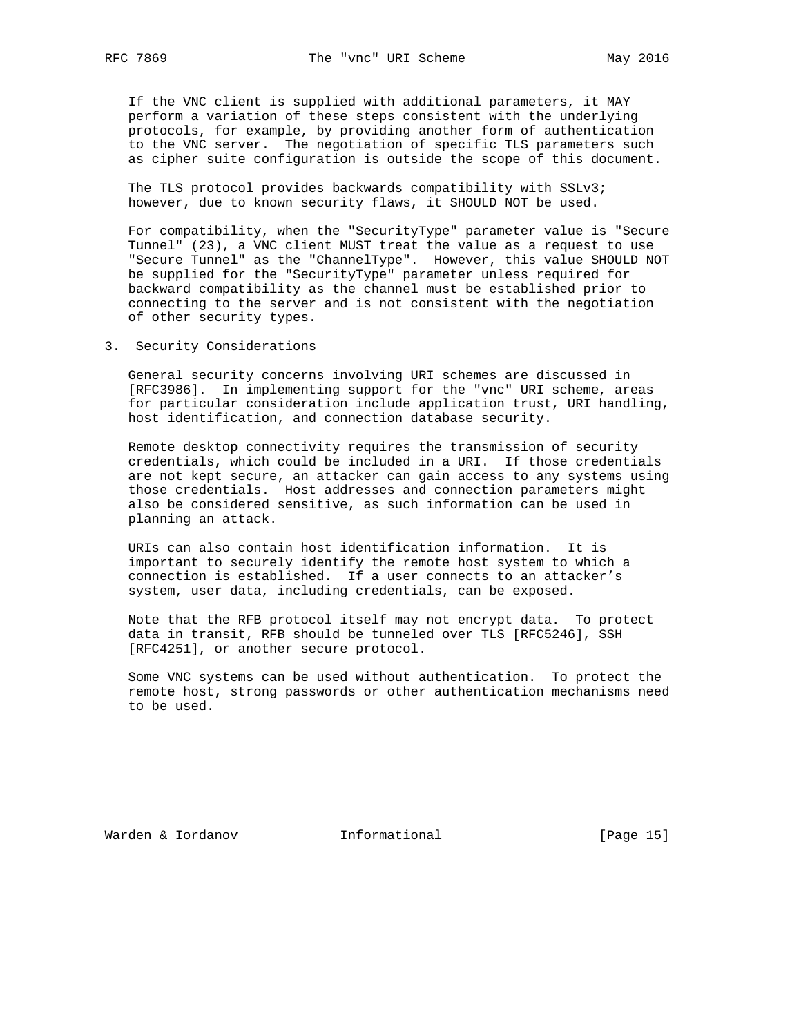If the VNC client is supplied with additional parameters, it MAY perform a variation of these steps consistent with the underlying protocols, for example, by providing another form of authentication to the VNC server. The negotiation of specific TLS parameters such as cipher suite configuration is outside the scope of this document.

 The TLS protocol provides backwards compatibility with SSLv3; however, due to known security flaws, it SHOULD NOT be used.

 For compatibility, when the "SecurityType" parameter value is "Secure Tunnel" (23), a VNC client MUST treat the value as a request to use "Secure Tunnel" as the "ChannelType". However, this value SHOULD NOT be supplied for the "SecurityType" parameter unless required for backward compatibility as the channel must be established prior to connecting to the server and is not consistent with the negotiation of other security types.

3. Security Considerations

 General security concerns involving URI schemes are discussed in [RFC3986]. In implementing support for the "vnc" URI scheme, areas for particular consideration include application trust, URI handling, host identification, and connection database security.

 Remote desktop connectivity requires the transmission of security credentials, which could be included in a URI. If those credentials are not kept secure, an attacker can gain access to any systems using those credentials. Host addresses and connection parameters might also be considered sensitive, as such information can be used in planning an attack.

 URIs can also contain host identification information. It is important to securely identify the remote host system to which a connection is established. If a user connects to an attacker's system, user data, including credentials, can be exposed.

 Note that the RFB protocol itself may not encrypt data. To protect data in transit, RFB should be tunneled over TLS [RFC5246], SSH [RFC4251], or another secure protocol.

 Some VNC systems can be used without authentication. To protect the remote host, strong passwords or other authentication mechanisms need to be used.

Warden & Iordanov Informational [Page 15]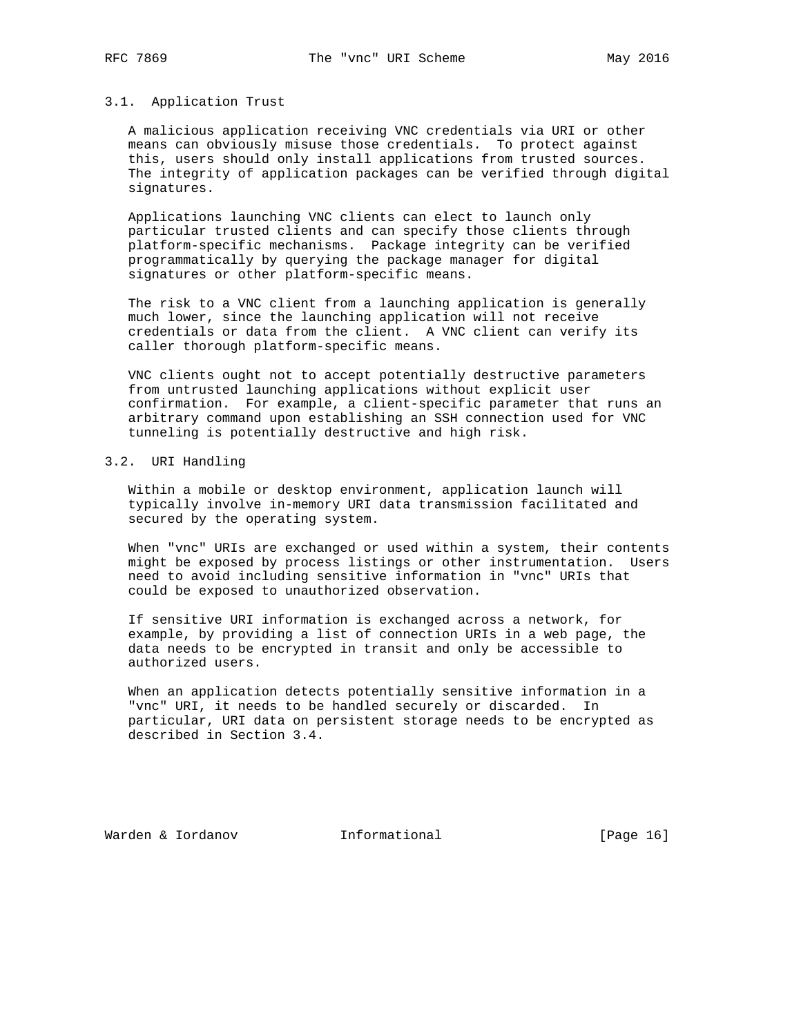#### 3.1. Application Trust

 A malicious application receiving VNC credentials via URI or other means can obviously misuse those credentials. To protect against this, users should only install applications from trusted sources. The integrity of application packages can be verified through digital signatures.

 Applications launching VNC clients can elect to launch only particular trusted clients and can specify those clients through platform-specific mechanisms. Package integrity can be verified programmatically by querying the package manager for digital signatures or other platform-specific means.

 The risk to a VNC client from a launching application is generally much lower, since the launching application will not receive credentials or data from the client. A VNC client can verify its caller thorough platform-specific means.

 VNC clients ought not to accept potentially destructive parameters from untrusted launching applications without explicit user confirmation. For example, a client-specific parameter that runs an arbitrary command upon establishing an SSH connection used for VNC tunneling is potentially destructive and high risk.

### 3.2. URI Handling

 Within a mobile or desktop environment, application launch will typically involve in-memory URI data transmission facilitated and secured by the operating system.

 When "vnc" URIs are exchanged or used within a system, their contents might be exposed by process listings or other instrumentation. Users need to avoid including sensitive information in "vnc" URIs that could be exposed to unauthorized observation.

 If sensitive URI information is exchanged across a network, for example, by providing a list of connection URIs in a web page, the data needs to be encrypted in transit and only be accessible to authorized users.

 When an application detects potentially sensitive information in a "vnc" URI, it needs to be handled securely or discarded. In particular, URI data on persistent storage needs to be encrypted as described in Section 3.4.

Warden & Iordanov **Informational** [Page 16]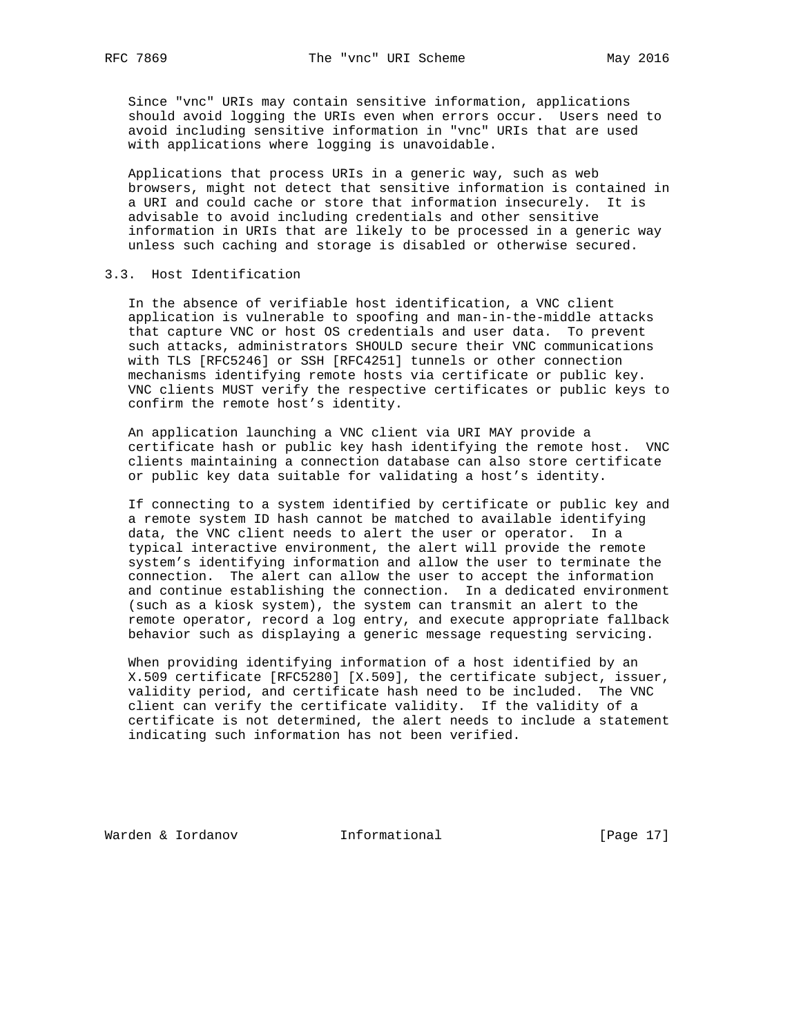Since "vnc" URIs may contain sensitive information, applications should avoid logging the URIs even when errors occur. Users need to avoid including sensitive information in "vnc" URIs that are used with applications where logging is unavoidable.

 Applications that process URIs in a generic way, such as web browsers, might not detect that sensitive information is contained in a URI and could cache or store that information insecurely. It is advisable to avoid including credentials and other sensitive information in URIs that are likely to be processed in a generic way unless such caching and storage is disabled or otherwise secured.

## 3.3. Host Identification

 In the absence of verifiable host identification, a VNC client application is vulnerable to spoofing and man-in-the-middle attacks that capture VNC or host OS credentials and user data. To prevent such attacks, administrators SHOULD secure their VNC communications with TLS [RFC5246] or SSH [RFC4251] tunnels or other connection mechanisms identifying remote hosts via certificate or public key. VNC clients MUST verify the respective certificates or public keys to confirm the remote host's identity.

 An application launching a VNC client via URI MAY provide a certificate hash or public key hash identifying the remote host. VNC clients maintaining a connection database can also store certificate or public key data suitable for validating a host's identity.

 If connecting to a system identified by certificate or public key and a remote system ID hash cannot be matched to available identifying data, the VNC client needs to alert the user or operator. In a typical interactive environment, the alert will provide the remote system's identifying information and allow the user to terminate the connection. The alert can allow the user to accept the information and continue establishing the connection. In a dedicated environment (such as a kiosk system), the system can transmit an alert to the remote operator, record a log entry, and execute appropriate fallback behavior such as displaying a generic message requesting servicing.

 When providing identifying information of a host identified by an X.509 certificate [RFC5280] [X.509], the certificate subject, issuer, validity period, and certificate hash need to be included. The VNC client can verify the certificate validity. If the validity of a certificate is not determined, the alert needs to include a statement indicating such information has not been verified.

Warden & Iordanov **Informational** [Page 17]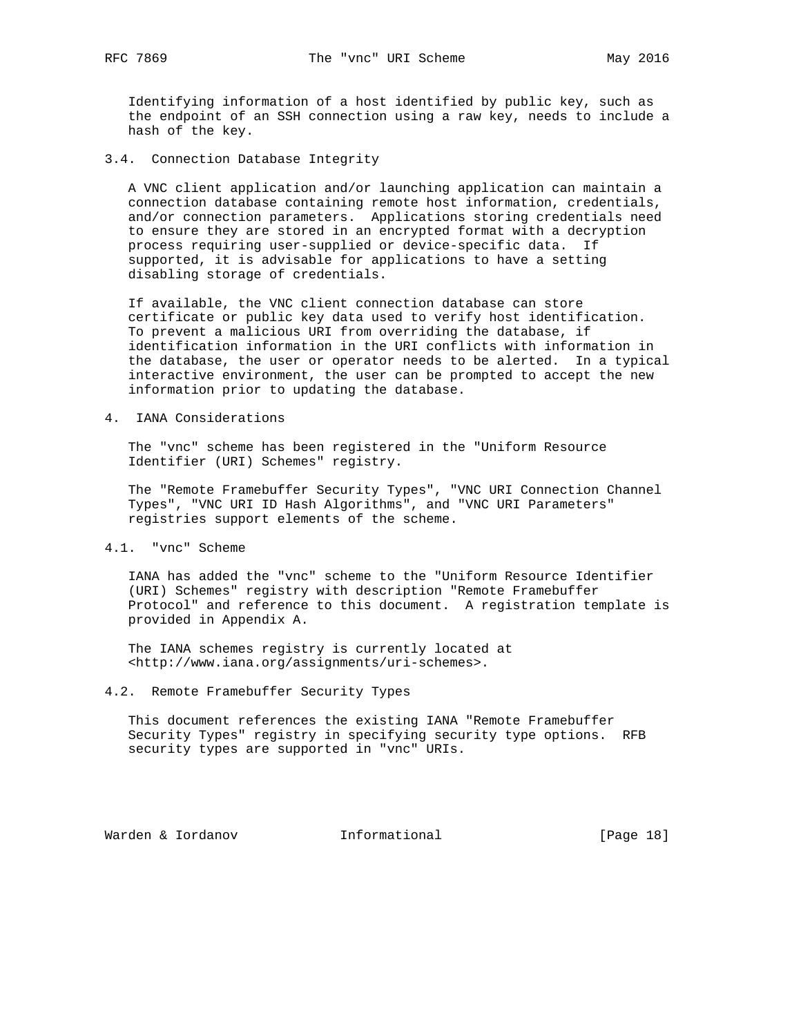Identifying information of a host identified by public key, such as the endpoint of an SSH connection using a raw key, needs to include a hash of the key.

3.4. Connection Database Integrity

 A VNC client application and/or launching application can maintain a connection database containing remote host information, credentials, and/or connection parameters. Applications storing credentials need to ensure they are stored in an encrypted format with a decryption process requiring user-supplied or device-specific data. If supported, it is advisable for applications to have a setting disabling storage of credentials.

 If available, the VNC client connection database can store certificate or public key data used to verify host identification. To prevent a malicious URI from overriding the database, if identification information in the URI conflicts with information in the database, the user or operator needs to be alerted. In a typical interactive environment, the user can be prompted to accept the new information prior to updating the database.

4. IANA Considerations

 The "vnc" scheme has been registered in the "Uniform Resource Identifier (URI) Schemes" registry.

 The "Remote Framebuffer Security Types", "VNC URI Connection Channel Types", "VNC URI ID Hash Algorithms", and "VNC URI Parameters" registries support elements of the scheme.

4.1. "vnc" Scheme

 IANA has added the "vnc" scheme to the "Uniform Resource Identifier (URI) Schemes" registry with description "Remote Framebuffer Protocol" and reference to this document. A registration template is provided in Appendix A.

 The IANA schemes registry is currently located at <http://www.iana.org/assignments/uri-schemes>.

4.2. Remote Framebuffer Security Types

 This document references the existing IANA "Remote Framebuffer Security Types" registry in specifying security type options. RFB security types are supported in "vnc" URIs.

Warden & Iordanov **Informational** [Page 18]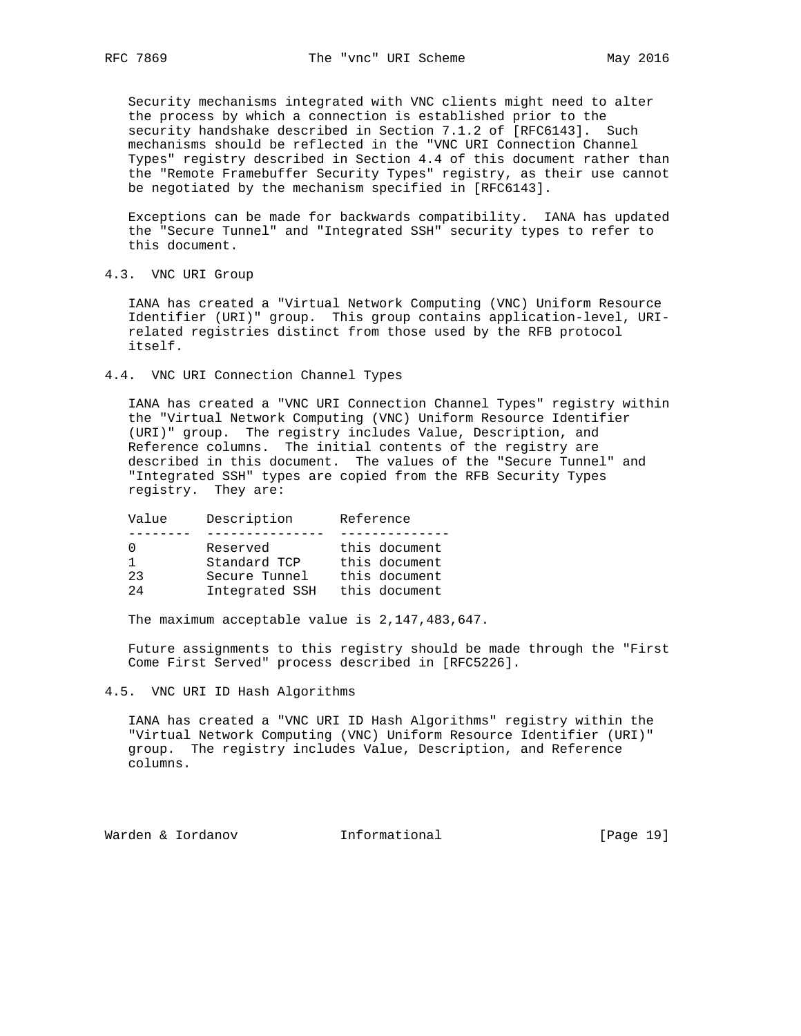Security mechanisms integrated with VNC clients might need to alter the process by which a connection is established prior to the security handshake described in Section 7.1.2 of [RFC6143]. Such mechanisms should be reflected in the "VNC URI Connection Channel Types" registry described in Section 4.4 of this document rather than the "Remote Framebuffer Security Types" registry, as their use cannot be negotiated by the mechanism specified in [RFC6143].

 Exceptions can be made for backwards compatibility. IANA has updated the "Secure Tunnel" and "Integrated SSH" security types to refer to this document.

4.3. VNC URI Group

 IANA has created a "Virtual Network Computing (VNC) Uniform Resource Identifier (URI)" group. This group contains application-level, URI related registries distinct from those used by the RFB protocol itself.

4.4. VNC URI Connection Channel Types

 IANA has created a "VNC URI Connection Channel Types" registry within the "Virtual Network Computing (VNC) Uniform Resource Identifier (URI)" group. The registry includes Value, Description, and Reference columns. The initial contents of the registry are described in this document. The values of the "Secure Tunnel" and "Integrated SSH" types are copied from the RFB Security Types registry. They are:

| Value | Description    | Reference     |
|-------|----------------|---------------|
|       |                |               |
|       | Reserved       | this document |
|       | Standard TCP   | this document |
| 23    | Secure Tunnel  | this document |
| 24    | Integrated SSH | this document |

The maximum acceptable value is 2,147,483,647.

 Future assignments to this registry should be made through the "First Come First Served" process described in [RFC5226].

4.5. VNC URI ID Hash Algorithms

 IANA has created a "VNC URI ID Hash Algorithms" registry within the "Virtual Network Computing (VNC) Uniform Resource Identifier (URI)" group. The registry includes Value, Description, and Reference columns.

Warden & Iordanov **Informational** [Page 19]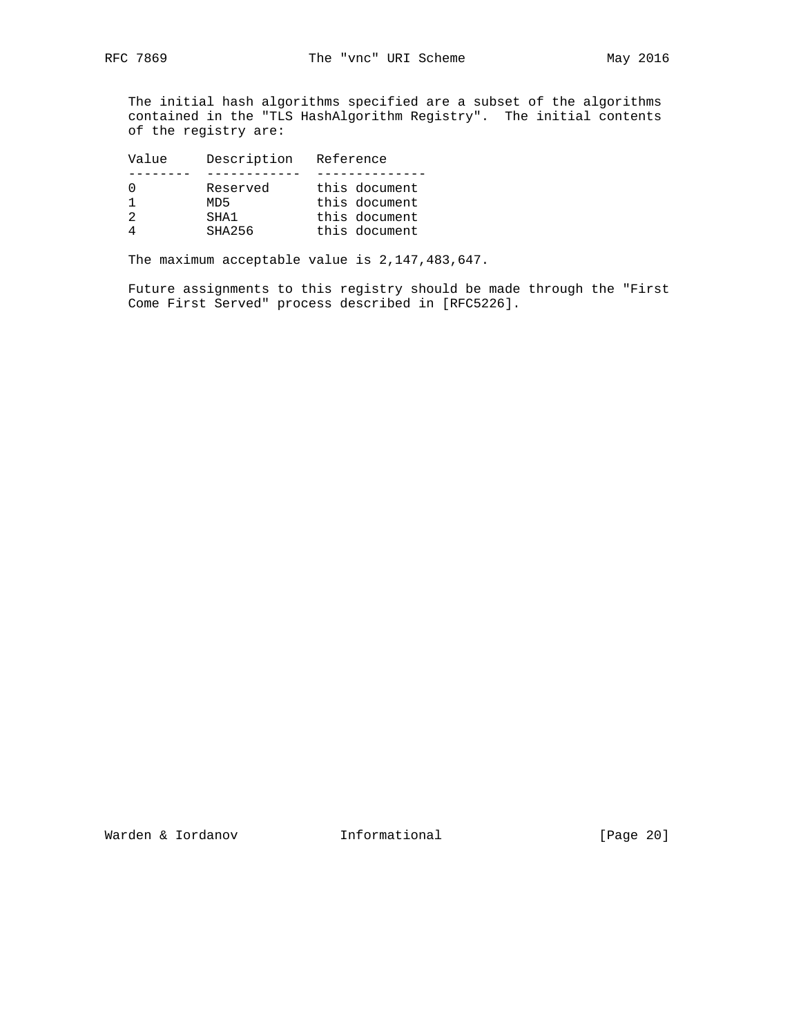The initial hash algorithms specified are a subset of the algorithms contained in the "TLS HashAlgorithm Registry". The initial contents of the registry are:

| Value | Description | Reference     |
|-------|-------------|---------------|
|       |             |               |
|       | Reserved    | this document |
|       | MD5         | this document |
| 2     | SHA1        | this document |
|       | SHA256      | this document |

The maximum acceptable value is 2,147,483,647.

 Future assignments to this registry should be made through the "First Come First Served" process described in [RFC5226].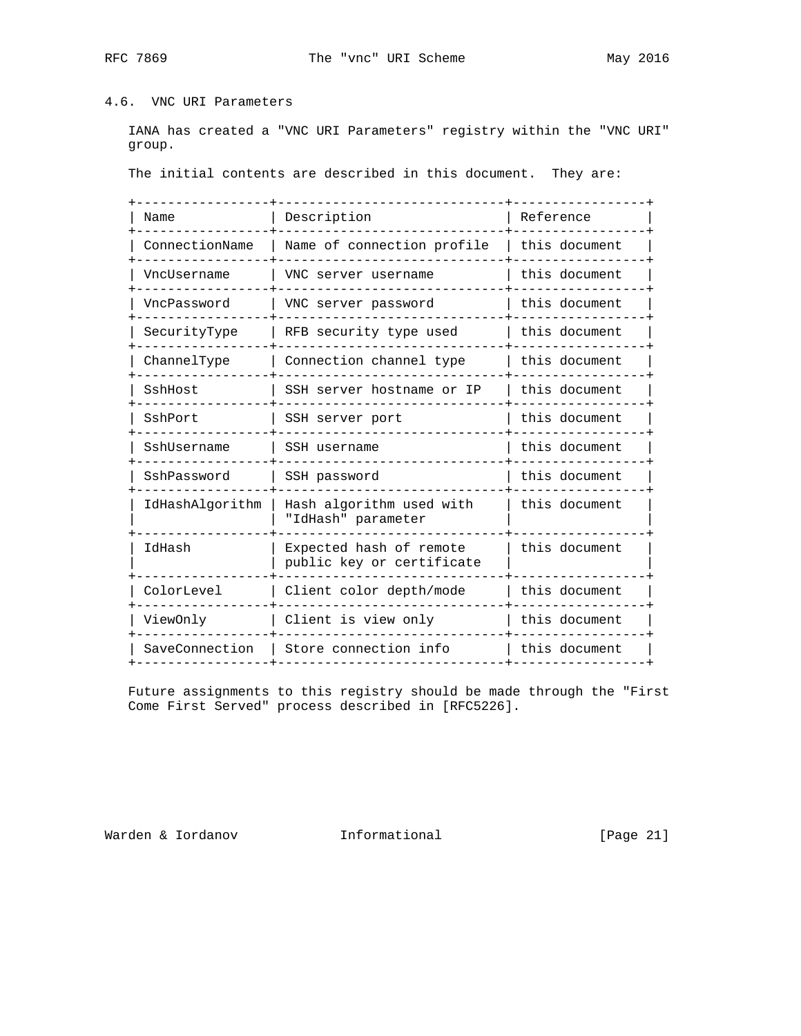# 4.6. VNC URI Parameters

 IANA has created a "VNC URI Parameters" registry within the "VNC URI" group.

The initial contents are described in this document. They are:

| Name            | Description                                          | Reference     |
|-----------------|------------------------------------------------------|---------------|
| ConnectionName  | Name of connection profile                           | this document |
| VncUsername     | VNC server username                                  | this document |
| VncPassword     | VNC server password                                  | this document |
| SecurityType    | RFB security type used                               | this document |
| ChannelType     | Connection channel type                              | this document |
| SshHost         | SSH server hostname or IP                            | this document |
| SshPort         | SSH server port                                      | this document |
| SshUsername     | SSH username                                         | this document |
| SshPassword     | SSH password                                         | this document |
| IdHashAlgorithm | Hash algorithm used with<br>"IdHash" parameter       | this document |
| IdHash          | Expected hash of remote<br>public key or certificate | this document |
| ColorLevel      | Client color depth/mode                              | this document |
| ViewOnly        | Client is view only                                  | this document |
| SaveConnection  | Store connection info                                | this document |
|                 |                                                      |               |

 Future assignments to this registry should be made through the "First Come First Served" process described in [RFC5226].

Warden & Iordanov **Informational** [Page 21]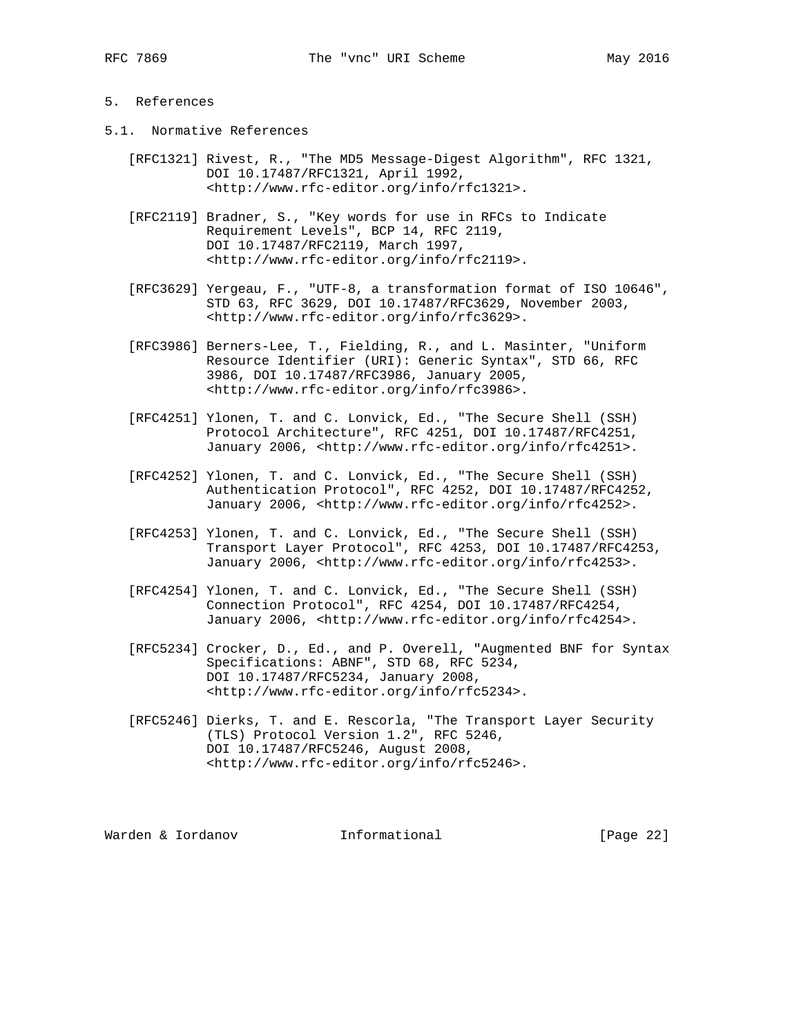# 5. References

- 5.1. Normative References
	- [RFC1321] Rivest, R., "The MD5 Message-Digest Algorithm", RFC 1321, DOI 10.17487/RFC1321, April 1992, <http://www.rfc-editor.org/info/rfc1321>.
	- [RFC2119] Bradner, S., "Key words for use in RFCs to Indicate Requirement Levels", BCP 14, RFC 2119, DOI 10.17487/RFC2119, March 1997, <http://www.rfc-editor.org/info/rfc2119>.
	- [RFC3629] Yergeau, F., "UTF-8, a transformation format of ISO 10646", STD 63, RFC 3629, DOI 10.17487/RFC3629, November 2003, <http://www.rfc-editor.org/info/rfc3629>.
	- [RFC3986] Berners-Lee, T., Fielding, R., and L. Masinter, "Uniform Resource Identifier (URI): Generic Syntax", STD 66, RFC 3986, DOI 10.17487/RFC3986, January 2005, <http://www.rfc-editor.org/info/rfc3986>.
	- [RFC4251] Ylonen, T. and C. Lonvick, Ed., "The Secure Shell (SSH) Protocol Architecture", RFC 4251, DOI 10.17487/RFC4251, January 2006, <http://www.rfc-editor.org/info/rfc4251>.
	- [RFC4252] Ylonen, T. and C. Lonvick, Ed., "The Secure Shell (SSH) Authentication Protocol", RFC 4252, DOI 10.17487/RFC4252, January 2006, <http://www.rfc-editor.org/info/rfc4252>.
	- [RFC4253] Ylonen, T. and C. Lonvick, Ed., "The Secure Shell (SSH) Transport Layer Protocol", RFC 4253, DOI 10.17487/RFC4253, January 2006, <http://www.rfc-editor.org/info/rfc4253>.
	- [RFC4254] Ylonen, T. and C. Lonvick, Ed., "The Secure Shell (SSH) Connection Protocol", RFC 4254, DOI 10.17487/RFC4254, January 2006, <http://www.rfc-editor.org/info/rfc4254>.
	- [RFC5234] Crocker, D., Ed., and P. Overell, "Augmented BNF for Syntax Specifications: ABNF", STD 68, RFC 5234, DOI 10.17487/RFC5234, January 2008, <http://www.rfc-editor.org/info/rfc5234>.
	- [RFC5246] Dierks, T. and E. Rescorla, "The Transport Layer Security (TLS) Protocol Version 1.2", RFC 5246, DOI 10.17487/RFC5246, August 2008, <http://www.rfc-editor.org/info/rfc5246>.

Warden & Iordanov **Informational** [Page 22]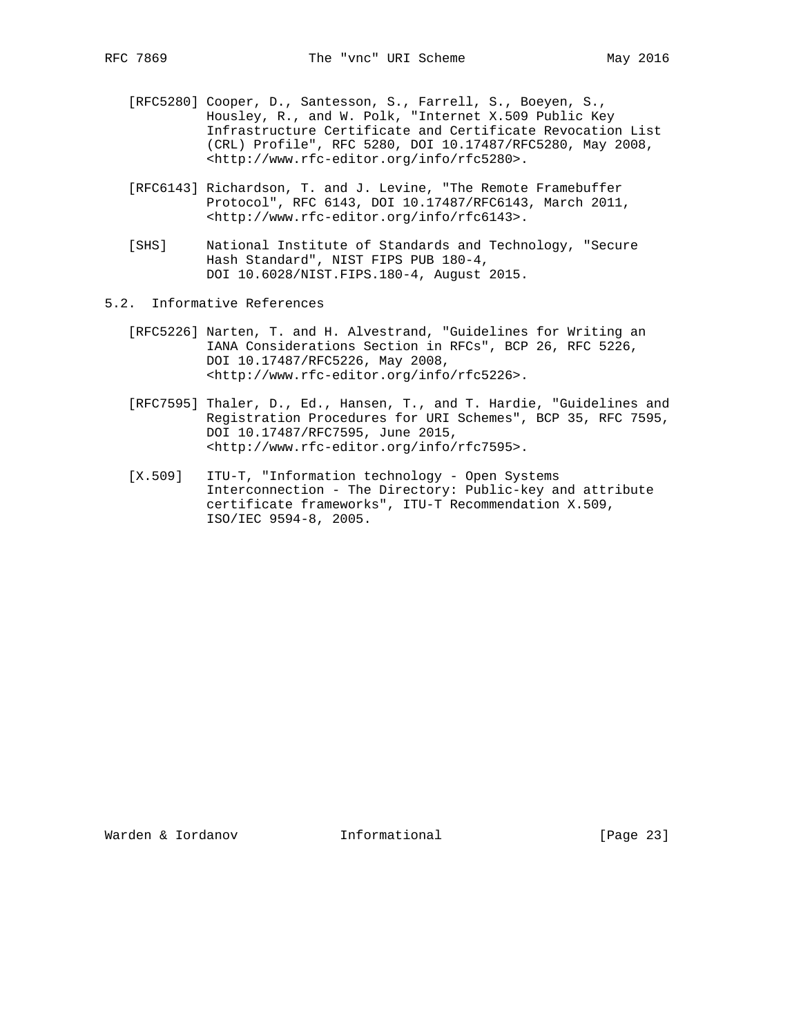- [RFC5280] Cooper, D., Santesson, S., Farrell, S., Boeyen, S., Housley, R., and W. Polk, "Internet X.509 Public Key Infrastructure Certificate and Certificate Revocation List (CRL) Profile", RFC 5280, DOI 10.17487/RFC5280, May 2008, <http://www.rfc-editor.org/info/rfc5280>.
- [RFC6143] Richardson, T. and J. Levine, "The Remote Framebuffer Protocol", RFC 6143, DOI 10.17487/RFC6143, March 2011, <http://www.rfc-editor.org/info/rfc6143>.
- [SHS] National Institute of Standards and Technology, "Secure Hash Standard", NIST FIPS PUB 180-4, DOI 10.6028/NIST.FIPS.180-4, August 2015.
- 5.2. Informative References
	- [RFC5226] Narten, T. and H. Alvestrand, "Guidelines for Writing an IANA Considerations Section in RFCs", BCP 26, RFC 5226, DOI 10.17487/RFC5226, May 2008, <http://www.rfc-editor.org/info/rfc5226>.
	- [RFC7595] Thaler, D., Ed., Hansen, T., and T. Hardie, "Guidelines and Registration Procedures for URI Schemes", BCP 35, RFC 7595, DOI 10.17487/RFC7595, June 2015, <http://www.rfc-editor.org/info/rfc7595>.
	- [X.509] ITU-T, "Information technology Open Systems Interconnection - The Directory: Public-key and attribute certificate frameworks", ITU-T Recommendation X.509, ISO/IEC 9594-8, 2005.

Warden & Iordanov **Informational** [Page 23]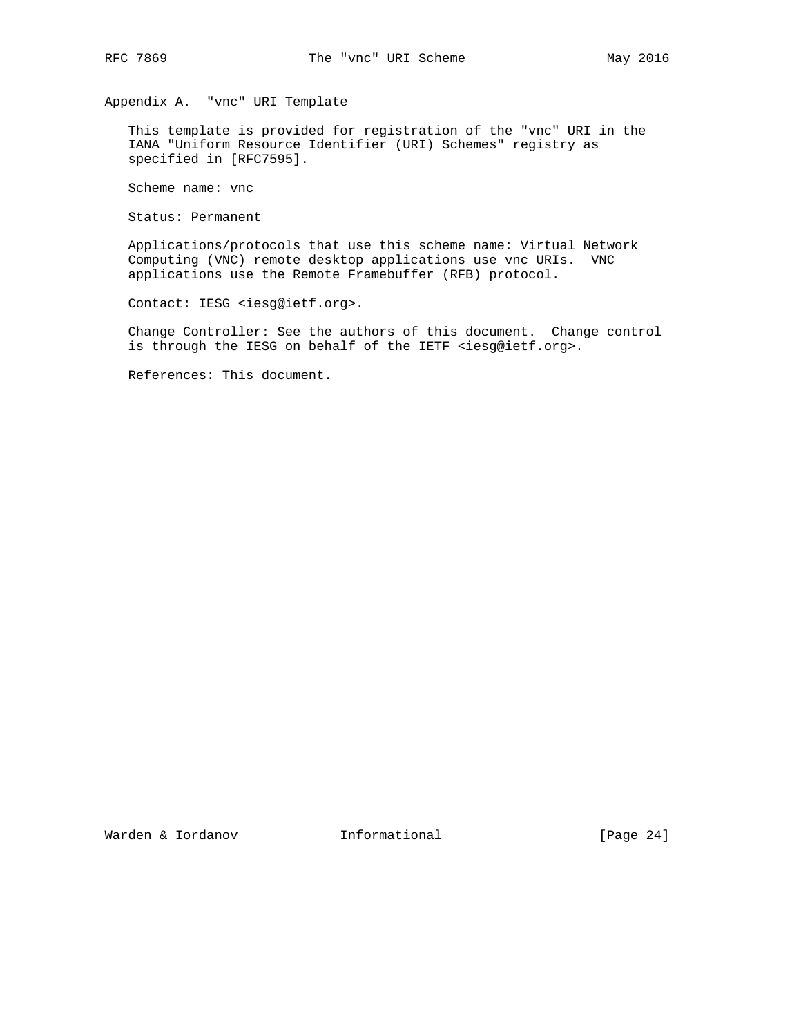Appendix A. "vnc" URI Template

 This template is provided for registration of the "vnc" URI in the IANA "Uniform Resource Identifier (URI) Schemes" registry as specified in [RFC7595].

Scheme name: vnc

Status: Permanent

 Applications/protocols that use this scheme name: Virtual Network Computing (VNC) remote desktop applications use vnc URIs. VNC applications use the Remote Framebuffer (RFB) protocol.

Contact: IESG <iesg@ietf.org>.

 Change Controller: See the authors of this document. Change control is through the IESG on behalf of the IETF <iesg@ietf.org>.

References: This document.